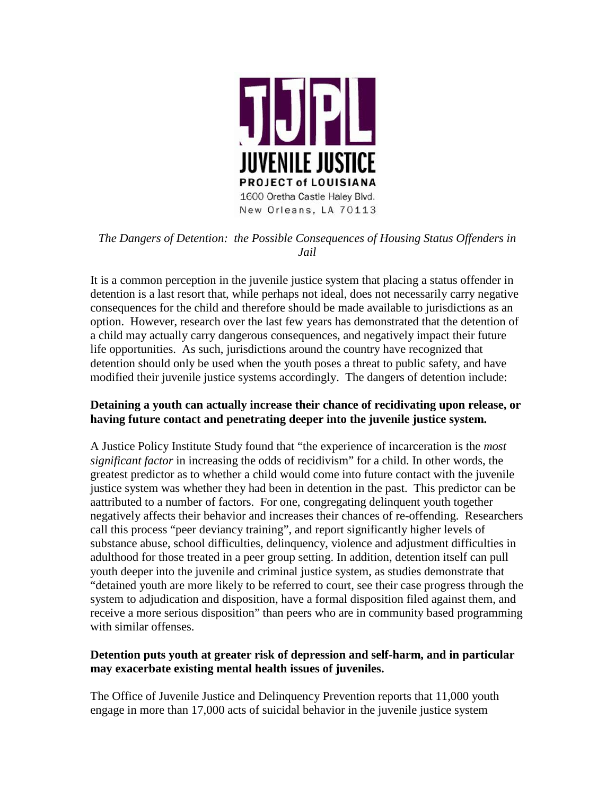

# *The Dangers of Detention: the Possible Consequences of Housing Status Offenders in Jail*

It is a common perception in the juvenile justice system that placing a status offender in detention is a last resort that, while perhaps not ideal, does not necessarily carry negative consequences for the child and therefore should be made available to jurisdictions as an option. However, research over the last few years has demonstrated that the detention of a child may actually carry dangerous consequences, and negatively impact their future life opportunities. As such, jurisdictions around the country have recognized that detention should only be used when the youth poses a threat to public safety, and have modified their juvenile justice systems accordingly. The dangers of detention include:

### **Detaining a youth can actually increase their chance of recidivating upon release, or having future contact and penetrating deeper into the juvenile justice system.**

A Justice Policy Institute Study found that "the experience of incarceration is the *most significant factor* in increasing the odds of recidivism" for a child. In other words, the greatest predictor as to whether a child would come into future contact with the juvenile justice system was whether they had been in detention in the past. This predictor can be aattributed to a number of factors. For one, congregating delinquent youth together negatively affects their behavior and increases their chances of re-offending. Researchers call this process "peer deviancy training", and report significantly higher levels of substance abuse, school difficulties, delinquency, violence and adjustment difficulties in adulthood for those treated in a peer group setting. In addition, detention itself can pull youth deeper into the juvenile and criminal justice system, as studies demonstrate that "detained youth are more likely to be referred to court, see their case progress through the system to adjudication and disposition, have a formal disposition filed against them, and receive a more serious disposition" than peers who are in community based programming with similar offenses.

### **Detention puts youth at greater risk of depression and self-harm, and in particular may exacerbate existing mental health issues of juveniles.**

The Office of Juvenile Justice and Delinquency Prevention reports that 11,000 youth engage in more than 17,000 acts of suicidal behavior in the juvenile justice system